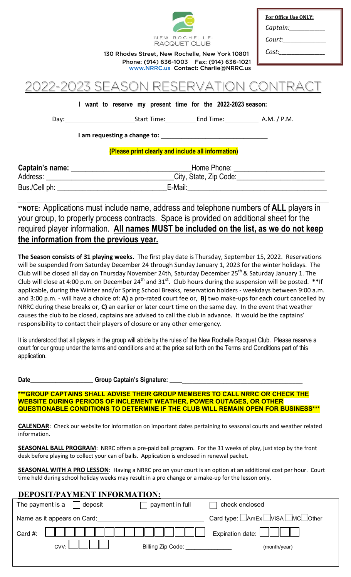

| For Office Use ONLY: |
|----------------------|
| Captain:_            |
| Court:               |

*Cost:\_\_\_\_\_\_\_\_\_\_\_\_\_\_\_\_\_\_*

RACQUET CLUB<br>**130 Rhodes Street, New Rochelle, New York 10801** Phone: (914) 636-1003 Fax: (914) 636-1021 [www.NRRC.us](http://www.nrrc.us/) Contact: Charlie@NRRC.us

# -2023 SEASON RESERVATION (

**I want to reserve my present time for the 2022-2023 season:**

Day: Start Time: End Time: A.M. / P.M.

**I** am requesting a change to:

## **(Please print clearly and include all information)**

| Captain's name: | Home Phone:            |  |
|-----------------|------------------------|--|
| Address:        | City, State, Zip Code: |  |
| Bus./Cell ph:   | E-Mail:                |  |

**\*\*NOTE:** Applications must include name, address and telephone numbers of **ALL** players in your group, to properly process contracts. Space is provided on additional sheet for the required player information. **All names MUST be included on the list, as we do not keep the information from the previous year.**

**The Season consists of 31 playing weeks.** The first play date is Thursday, September 15, 2022. Reservations will be suspended from Saturday December 24 through Sunday January 1, 2023 for the winter holidays. The Club will be closed all day on Thursday November 24th, Saturday December  $25^{th}$  & Saturday January 1. The Club will close at 4:00 p.m. on December 24th and 31st. Club hours during the suspension will be posted. **\*\***If applicable, during the Winter and/or Spring School Breaks, reservation holders - weekdays between 9:00 a.m. and 3:00 p.m. - will have a choice of: **A)** a pro-rated court fee or, **B)** two make-ups for each court cancelled by NRRC during these breaks or, **C)** an earlier or later court time on the same day. In the event that weather causes the club to be closed, captains are advised to call the club in advance. It would be the captains' responsibility to contact their players of closure or any other emergency.

It is understood that all players in the group will abide by the rules of the New Rochelle Racquet Club. Please reserve a court for our group under the terms and conditions and at the price set forth on the Terms and Conditions part of this application.

Date\_\_\_\_\_\_\_\_\_\_\_\_\_\_\_\_\_\_\_\_\_\_\_\_\_Group Captain's Signature:

**\*\*\*GROUP CAPTAINS SHALL ADVISE THEIR GROUP MEMBERS TO CALL NRRC OR CHECK THE WEBSITE DURING PERIODS OF INCLEMENT WEATHER, POWER OUTAGES, OR OTHER QUESTIONABLE CONDITIONS TO DETERMINE IF THE CLUB WILL REMAIN OPEN FOR BUSINESS\*\*\***

**CALENDAR**: Check our website for information on important dates pertaining to seasonal courts and weather related information.

**SEASONAL BALL PROGRAM**: NRRC offers a pre-paid ball program. For the 31 weeks of play, just stop by the front desk before playing to collect your can of balls. Application is enclosed in renewal packet.

**SEASONAL WITH A PRO LESSON**: Having a NRRC pro on your court is an option at an additional cost per hour. Court time held during school holiday weeks may result in a pro change or a make-up for the lesson only.

| DEPOSIT/PAYMENT INFORMATION: |                             |                   |                                        |  |  |  |  |
|------------------------------|-----------------------------|-------------------|----------------------------------------|--|--|--|--|
| The payment is a             | deposit                     | payment in full   | check enclosed                         |  |  |  |  |
|                              | Name as it appears on Card: |                   | Card type: AmEx UISA MC Other          |  |  |  |  |
| Card #:                      |                             |                   | Expiration date: $\boxed{\phantom{a}}$ |  |  |  |  |
|                              | $CVV$ :                     | Billing Zip Code: | (month/year)                           |  |  |  |  |
|                              |                             |                   |                                        |  |  |  |  |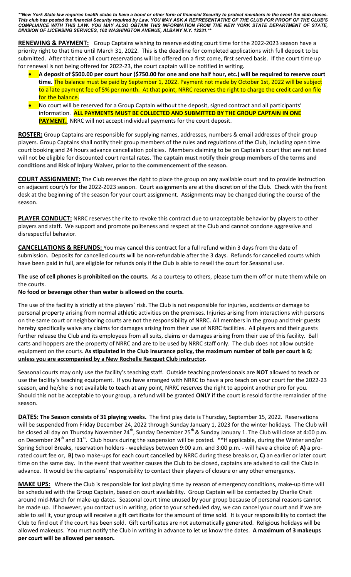*\*\*New York State law requires health clubs to have a bond or other form of financial Security to protect members in the event the club closes. This club has posted the financial Security required by Law. YOU MAY ASK A REPRESENTATIVE OF THE CLUB FOR PROOF OF THE CLUB'S COMPLIANCE WITH THIS LAW. YOU MAY ALSO OBTAIN THIS INFORMATION FROM THE NEW YORK STATE DEPARTMENT OF STATE, DIVISION OF LICENSING SERVICES, 162 WASHINGTON AVENUE, ALBANY N.Y. 12231.\*\**

**RENEWING & PAYMENT:** Group Captains wishing to reserve existing court time for the 2022-2023 season have a priority right to that time until March 31, 2022. This is the deadline for completed applications with full deposit to be submitted. After that time all court reservations will be offered on a first come, first served basis. If the court time up for renewal is not being offered for 2022-23, the court captain will be notified in writing.

- **A deposit of \$500.00 per court hour (\$750.00 for one and one half hour, etc.) will be required to reserve court time.** The balance must be paid by September 1, 2022. Payment not made by October 1st, 2022 will be subject to a late payment fee of 5% per month. At that point, NRRC reserves the right to charge the credit card on file for the balance.
- No court will be reserved for a Group Captain without the deposit, signed contract and all participants' information. **ALL PAYMENTS MUST BE COLLECTED AND SUBMITTED BY THE GROUP CAPTAIN IN ONE PAYMENT.** NRRC will not accept individual payments for the court deposit.

**ROSTER:** Group Captains are responsible for supplying names, addresses, numbers & email addresses of their group players. Group Captains shall notify their group members of the rules and regulations of the Club, including open time court booking and 24 hours advance cancellation policies. Members claiming to be on Captain's court that are not listed will not be eligible for discounted court rental rates. **The captain must notify their group members of the terms and conditions and Risk of Injury Waiver, prior to the commencement of the season.**

**COURT ASSIGNMENT:** The Club reserves the right to place the group on any available court and to provide instruction on adjacent court/s for the 2022-2023 season. Court assignments are at the discretion of the Club. Check with the front desk at the beginning of the season for your court assignment. Assignments may be changed during the course of the season.

**PLAYER CONDUCT:** NRRC reserves the rite to revoke this contract due to unacceptable behavior by players to other players and staff. We support and promote politeness and respect at the Club and cannot condone aggressive and disrespectful behavior.

**CANCELLATIONS & REFUNDS:** You may cancel this contract for a full refund within 3 days from the date of submission. Deposits for cancelled courts will be non-refundable after the 3 days. Refunds for cancelled courts which have been paid in full, are eligible for refunds only if the Club is able to resell the court for Seasonal use.

**The use of cell phones is prohibited on the courts.** As a courtesy to others, please turn them off or mute them while on the courts.

### **No food or beverage other than water is allowed on the courts.**

The use of the facility is strictly at the players' risk. The Club is not responsible for injuries, accidents or damage to personal property arising from normal athletic activities on the premises. Injuries arising from interactions with persons on the same court or neighboring courts are not the responsibility of NRRC. All members in the group and their guests hereby specifically waive any claims for damages arising from their use of NRRC facilities. All players and their guests further release the Club and its employees from all suits, claims or damages arising from their use of this facility. Ball carts and hoppers are the property of NRRC and are to be used by NRRC staff only. The club does not allow outside equipment on the courts. **As stipulated in the Club insurance policy, the maximum number of balls per court is 6; unless you are accompanied by a New Rochelle Racquet Club instructor.**

Seasonal courts may only use the facility's teaching staff. Outside teaching professionals are **NOT** allowed to teach or use the facility's teaching equipment. If you have arranged with NRRC to have a pro teach on your court for the 2022-23 season, and he/she is not available to teach at any point, NRRC reserves the right to appoint another pro for you. Should this not be acceptable to your group, a refund will be granted **ONLY** if the court is resold for the remainder of the season.

**DATES: The Season consists of 31 playing weeks.** The first play date is Thursday, September 15, 2022. Reservations will be suspended from Friday December 24, 2022 through Sunday January 1, 2023 for the winter holidays. The Club will be closed all day on Thursday November 24<sup>th</sup>, Sunday December 25<sup>th</sup> & Sunday January 1. The Club will close at 4:00 p.m. on December 24<sup>th</sup> and 31<sup>st</sup>. Club hours during the suspension will be posted. \*\*If applicable, during the Winter and/or Spring School Breaks, reservation holders - weekdays between 9:00 a.m. and 3:00 p.m. - will have a choice of: **A)** a prorated court fee or, **B)** two make-ups for each court cancelled by NRRC during these breaks or, **C)** an earlier or later court time on the same day. In the event that weather causes the Club to be closed, captains are advised to call the Club in advance. It would be the captains' responsibility to contact their players of closure or any other emergency.

**MAKE UPS:** Where the Club is responsible for lost playing time by reason of emergency conditions, make-up time will be scheduled with the Group Captain, based on court availability. Group Captain will be contacted by Charlie Chait around mid-March for make-up dates. Seasonal court time unused by your group because of personal reasons cannot be made up. If however, you contact us in writing, prior to your scheduled day, we can cancel your court and if we are able to sell it, your group will receive a gift certificate for the amount of time sold. It is your responsibility to contact the Club to find out if the court has been sold. Gift certificates are not automatically generated. Religious holidays will be allowed makeups. You must notify the Club in writing in advance to let us know the dates. **A maximum of 3 makeups per court will be allowed per season.**